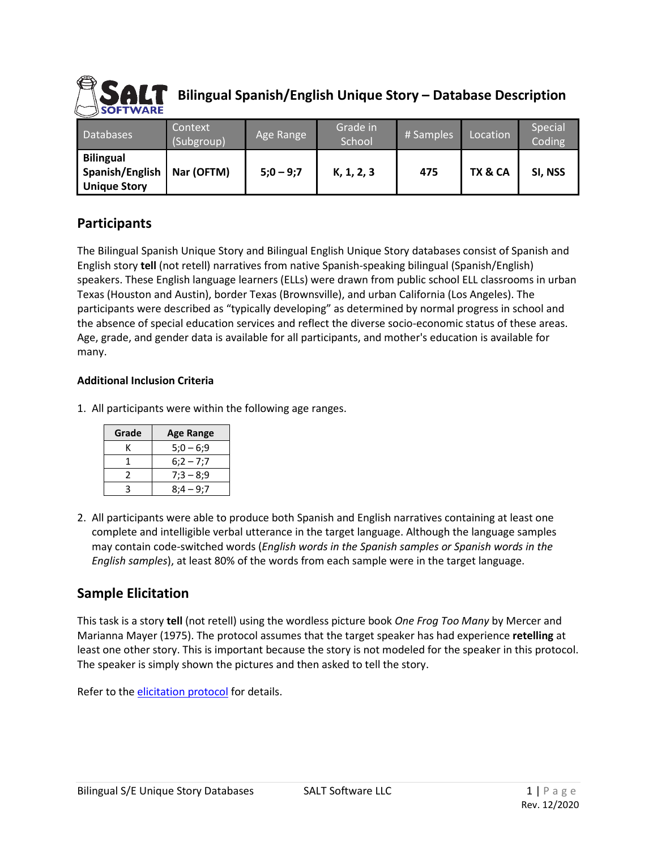

# **Bilingual Spanish/English Unique Story – Database Description**

| <b>Databases</b>                                           | Context<br>(Subgroup) | Age Range   | Grade in<br>School | # Samples | Location | Special<br>Coding |
|------------------------------------------------------------|-----------------------|-------------|--------------------|-----------|----------|-------------------|
| <b>Bilingual</b><br>Spanish/English<br><b>Unique Story</b> | Nar (OFTM)            | $5:0 - 9:7$ | K, 1, 2, 3         | 475       | TX & CA  | SI, NSS           |

#### **Participants**

The Bilingual Spanish Unique Story and Bilingual English Unique Story databases consist of Spanish and English story **tell** (not retell) narratives from native Spanish-speaking bilingual (Spanish/English) speakers. These English language learners (ELLs) were drawn from public school ELL classrooms in urban Texas (Houston and Austin), border Texas (Brownsville), and urban California (Los Angeles). The participants were described as "typically developing" as determined by normal progress in school and the absence of special education services and reflect the diverse socio-economic status of these areas. Age, grade, and gender data is available for all participants, and mother's education is available for many.

#### **Additional Inclusion Criteria**

1. All participants were within the following age ranges.

| Grade | <b>Age Range</b> |  |  |
|-------|------------------|--|--|
|       | $5:0 - 6:9$      |  |  |
|       | $6:2 - 7:7$      |  |  |
|       | $7:3 - 8:9$      |  |  |
|       | $8:4 - 9:7$      |  |  |

2. All participants were able to produce both Spanish and English narratives containing at least one complete and intelligible verbal utterance in the target language. Although the language samples may contain code-switched words (*English words in the Spanish samples or Spanish words in the English samples*), at least 80% of the words from each sample were in the target language.

#### **Sample Elicitation**

This task is a story **tell** (not retell) using the wordless picture book *One Frog Too Many* by Mercer and Marianna Mayer (1975). The protocol assumes that the target speaker has had experience **retelling** at least one other story. This is important because the story is not modeled for the speaker in this protocol. The speaker is simply shown the pictures and then asked to tell the story.

Refer to the [elicitation protocol](https://www.saltsoftware.com/media/wysiwyg/reference_database/FrogStoryElicProtocol.pdf) for details.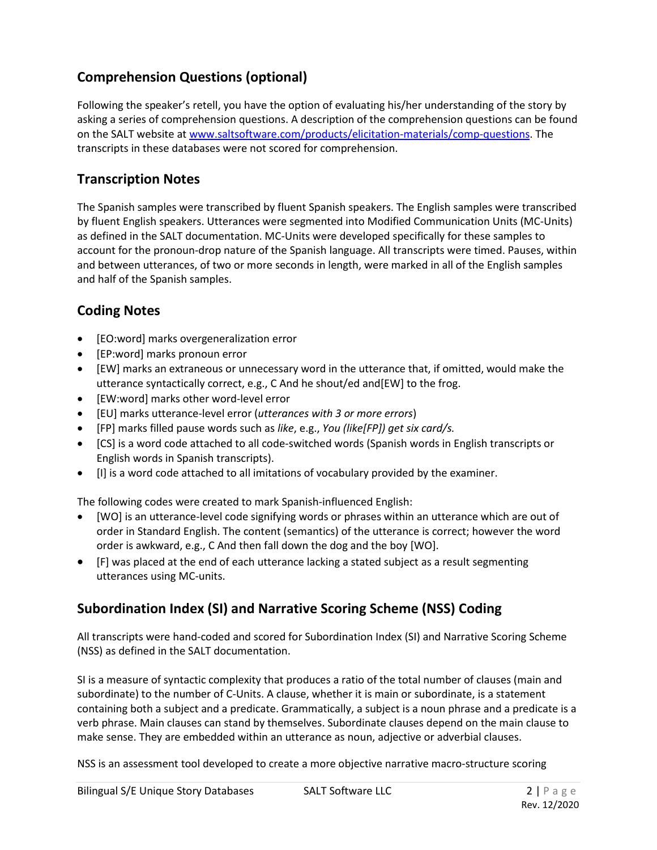# **Comprehension Questions (optional)**

Following the speaker's retell, you have the option of evaluating his/her understanding of the story by asking a series of comprehension questions. A description of the comprehension questions can be found on the SALT website at [www.saltsoftware.com/products/elicitation-materials/comp-questions.](https://www.saltsoftware.com/products/elicitation-materials/comp-questions) The transcripts in these databases were not scored for comprehension.

#### **Transcription Notes**

The Spanish samples were transcribed by fluent Spanish speakers. The English samples were transcribed by fluent English speakers. Utterances were segmented into Modified Communication Units (MC-Units) as defined in the SALT documentation. MC-Units were developed specifically for these samples to account for the pronoun-drop nature of the Spanish language. All transcripts were timed. Pauses, within and between utterances, of two or more seconds in length, were marked in all of the English samples and half of the Spanish samples.

# **Coding Notes**

- [EO:word] marks overgeneralization error
- [EP:word] marks pronoun error
- [EW] marks an extraneous or unnecessary word in the utterance that, if omitted, would make the utterance syntactically correct, e.g., C And he shout/ed and[EW] to the frog.
- [EW:word] marks other word-level error
- [EU] marks utterance-level error (*utterances with 3 or more errors*)
- [FP] marks filled pause words such as *like*, e.g., *You (like[FP]) get six card/s.*
- [CS] is a word code attached to all code-switched words (Spanish words in English transcripts or English words in Spanish transcripts).
- [I] is a word code attached to all imitations of vocabulary provided by the examiner.

The following codes were created to mark Spanish-influenced English:

- [WO] is an utterance-level code signifying words or phrases within an utterance which are out of order in Standard English. The content (semantics) of the utterance is correct; however the word order is awkward, e.g., C And then fall down the dog and the boy [WO].
- [F] was placed at the end of each utterance lacking a stated subject as a result segmenting utterances using MC-units.

# **Subordination Index (SI) and Narrative Scoring Scheme (NSS) Coding**

All transcripts were hand-coded and scored for Subordination Index (SI) and Narrative Scoring Scheme (NSS) as defined in the SALT documentation.

SI is a measure of syntactic complexity that produces a ratio of the total number of clauses (main and subordinate) to the number of C-Units. A clause, whether it is main or subordinate, is a statement containing both a subject and a predicate. Grammatically, a subject is a noun phrase and a predicate is a verb phrase. Main clauses can stand by themselves. Subordinate clauses depend on the main clause to make sense. They are embedded within an utterance as noun, adjective or adverbial clauses.

NSS is an assessment tool developed to create a more objective narrative macro-structure scoring